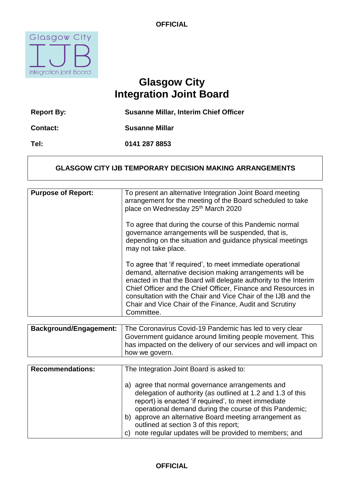

# **Glasgow City Integration Joint Board**

| <b>Report By:</b> | <b>Susanne Millar, Interim Chief Officer</b> |
|-------------------|----------------------------------------------|
| <b>Contact:</b>   | <b>Susanne Millar</b>                        |
| Tel:              | 0141 287 8853                                |

## **GLASGOW CITY IJB TEMPORARY DECISION MAKING ARRANGEMENTS**

| <b>Purpose of Report:</b> | To present an alternative Integration Joint Board meeting<br>arrangement for the meeting of the Board scheduled to take<br>place on Wednesday 25 <sup>th</sup> March 2020                                                                                                                                                                                                                             |
|---------------------------|-------------------------------------------------------------------------------------------------------------------------------------------------------------------------------------------------------------------------------------------------------------------------------------------------------------------------------------------------------------------------------------------------------|
|                           | To agree that during the course of this Pandemic normal<br>governance arrangements will be suspended, that is,<br>depending on the situation and guidance physical meetings<br>may not take place.                                                                                                                                                                                                    |
|                           | To agree that 'if required', to meet immediate operational<br>demand, alternative decision making arrangements will be<br>enacted in that the Board will delegate authority to the Interim<br>Chief Officer and the Chief Officer, Finance and Resources in<br>consultation with the Chair and Vice Chair of the IJB and the<br>Chair and Vice Chair of the Finance, Audit and Scrutiny<br>Committee. |
|                           |                                                                                                                                                                                                                                                                                                                                                                                                       |

| Background/Engagement: | The Coronavirus Covid-19 Pandemic has led to very clear         |
|------------------------|-----------------------------------------------------------------|
|                        | Government guidance around limiting people movement. This       |
|                        | has impacted on the delivery of our services and will impact on |
|                        | how we govern.                                                  |

| <b>Recommendations:</b> | The Integration Joint Board is asked to:                                                                                                                                                                                                                                                                                                                                                                 |
|-------------------------|----------------------------------------------------------------------------------------------------------------------------------------------------------------------------------------------------------------------------------------------------------------------------------------------------------------------------------------------------------------------------------------------------------|
|                         | agree that normal governance arrangements and<br>a)<br>delegation of authority (as outlined at 1.2 and 1.3 of this<br>report) is enacted 'if required', to meet immediate<br>operational demand during the course of this Pandemic;<br>approve an alternative Board meeting arrangement as<br>b)<br>outlined at section 3 of this report;<br>note regular updates will be provided to members; and<br>C) |

## **OFFICIAL**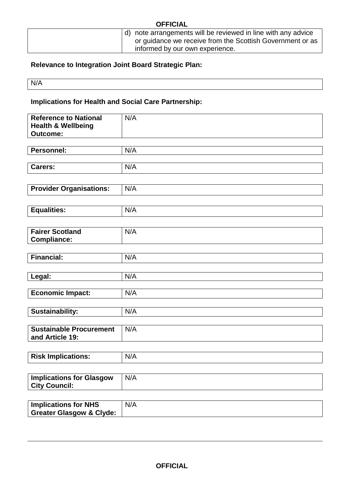| d) note arrangements will be reviewed in line with any advice<br>or guidance we receive from the Scottish Government or as | <b>OFFICIAL</b> |                                 |  |
|----------------------------------------------------------------------------------------------------------------------------|-----------------|---------------------------------|--|
|                                                                                                                            |                 |                                 |  |
|                                                                                                                            |                 |                                 |  |
|                                                                                                                            |                 | informed by our own experience. |  |

# **Relevance to Integration Joint Board Strategic Plan:**

N/A

**Implications for Health and Social Care Partnership:** 

| <b>Reference to National</b><br><b>Health &amp; Wellbeing</b><br><b>Outcome:</b> | N/A |
|----------------------------------------------------------------------------------|-----|
|                                                                                  |     |
| <b>Personnel:</b>                                                                | N/A |
| <b>Carers:</b>                                                                   | N/A |
|                                                                                  |     |
| <b>Provider Organisations:</b>                                                   | N/A |
|                                                                                  |     |
| <b>Equalities:</b>                                                               | N/A |
|                                                                                  |     |
| <b>Fairer Scotland</b><br><b>Compliance:</b>                                     | N/A |
|                                                                                  |     |
| <b>Financial:</b>                                                                | N/A |
|                                                                                  |     |
| Legal:                                                                           | N/A |
| <b>Economic Impact:</b>                                                          | N/A |
|                                                                                  |     |
| Sustainability:                                                                  | N/A |
| <b>Sustainable Procurement</b>                                                   | N/A |
| and Article 19:                                                                  |     |
| <b>Risk Implications:</b>                                                        | N/A |
|                                                                                  |     |
| <b>Implications for Glasgow</b><br><b>City Council:</b>                          | N/A |
|                                                                                  |     |
| <b>Implications for NHS</b><br><b>Greater Glasgow &amp; Clyde:</b>               | N/A |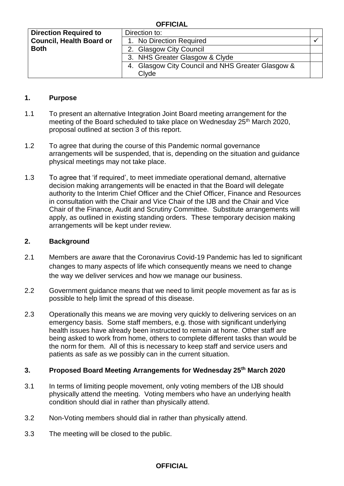#### **OFFICIAL**

| <b>Direction Required to</b>    | Direction to:                                     |  |
|---------------------------------|---------------------------------------------------|--|
| <b>Council, Health Board or</b> | 1. No Direction Required                          |  |
| <b>Both</b>                     | 2. Glasgow City Council                           |  |
|                                 | 3. NHS Greater Glasgow & Clyde                    |  |
|                                 | 4. Glasgow City Council and NHS Greater Glasgow & |  |
|                                 | Clyde                                             |  |

#### **1. Purpose**

- meeting of the Board scheduled to take place on Wednesday 25<sup>th</sup> March 2020, proposal outlined at section 3 of this report. 1.1 To present an alternative Integration Joint Board meeting arrangement for the
- 1.2 To agree that during the course of this Pandemic normal governance arrangements will be suspended, that is, depending on the situation and guidance physical meetings may not take place.
- 1.3 To agree that 'if required', to meet immediate operational demand, alternative authority to the Interim Chief Officer and the Chief Officer, Finance and Resources Chair of the Finance, Audit and Scrutiny Committee. Substitute arrangements will apply, as outlined in existing standing orders. These temporary decision making decision making arrangements will be enacted in that the Board will delegate in consultation with the Chair and Vice Chair of the IJB and the Chair and Vice arrangements will be kept under review.

#### **2. Background**

- 2.1 Members are aware that the Coronavirus Covid-19 Pandemic has led to significant changes to many aspects of life which consequently means we need to change the way we deliver services and how we manage our business.
- 2.2 Government guidance means that we need to limit people movement as far as is possible to help limit the spread of this disease.
- emergency basis. Some staff members, e.g. those with significant underlying health issues have already been instructed to remain at home. Other staff are the norm for them. All of this is necessary to keep staff and service users and patients as safe as we possibly can in the current situation. 2.3 Operationally this means we are moving very quickly to delivering services on an being asked to work from home, others to complete different tasks than would be

#### **3. Proposed Board Meeting Arrangements for Wednesday 25th March 2020**

- physically attend the meeting. Voting members who have an underlying health condition should dial in rather than physically attend. 3.1 In terms of limiting people movement, only voting members of the IJB should
- 3.2 Non-Voting members should dial in rather than physically attend.
- $3.3$ The meeting will be closed to the public.

#### **OFFICIAL**